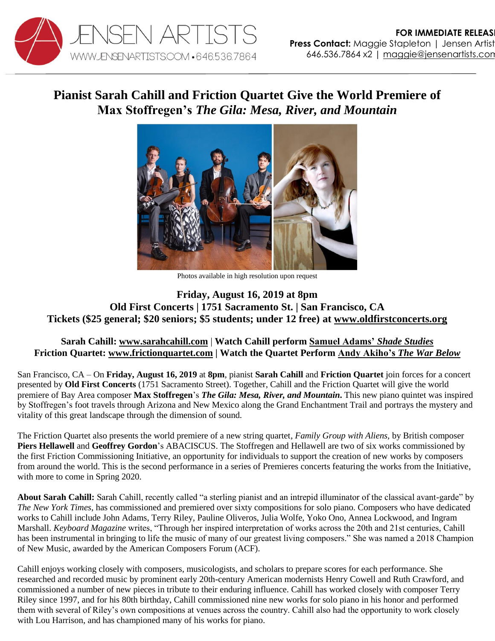

## **Pianist Sarah Cahill and Friction Quartet Give the World Premiere of Max Stoffregen's** *The Gila: Mesa, River, and Mountain*



Photos available in high resolution upon request

## **Friday, August 16, 2019 at 8pm Old First Concerts | 1751 Sacramento St. | San Francisco, CA Tickets (\$25 general; \$20 seniors; \$5 students; under 12 free) at [www.oldfirstconcerts.org](https://www.oldfirstconcerts.org/performance/friction-quartet-with-sarah-cahill-friday-august-16-at-8-pm/)**

## **Sarah Cahill: [www.sarahcahill.com](http://www.sarahcahill.com/)** | **Watch Cahill perform [Samuel Adams'](https://www.youtube.com/watch?v=2oKaKbN4wWo)** *Shade Studies* **Friction Quartet: [www.frictionquartet.com](http://www.frictionquartet.com/) | Watch the Quartet Perform Andy Akiho's** *[The War Below](https://youtu.be/2oKaKbN4wWo)*

San Francisco, CA – On **Friday, August 16, 2019** at **8pm**, pianist **Sarah Cahill** and **Friction Quartet** join forces for a concert presented by **Old First Concerts** (1751 Sacramento Street). Together, Cahill and the Friction Quartet will give the world premiere of Bay Area composer **Max Stoffregen**'s *The Gila: Mesa, River, and Mountain***.** This new piano quintet was inspired by Stoffregen's foot travels through Arizona and New Mexico along the Grand Enchantment Trail and portrays the mystery and vitality of this great landscape through the dimension of sound.

The Friction Quartet also presents the world premiere of a new string quartet, *Family Group with Aliens,* by British composer **Piers Hellawell** and **Geoffrey Gordon**'s ABACISCUS. The Stoffregen and Hellawell are two of six works commissioned by the first Friction Commissioning Initiative, an opportunity for individuals to support the creation of new works by composers from around the world. This is the second performance in a series of Premieres concerts featuring the works from the Initiative, with more to come in Spring 2020.

**About Sarah Cahill:** Sarah Cahill, recently called "a sterling pianist and an intrepid illuminator of the classical avant-garde" by *The New York Times*, has commissioned and premiered over sixty compositions for solo piano. Composers who have dedicated works to Cahill include John Adams, Terry Riley, Pauline Oliveros, Julia Wolfe, Yoko Ono, Annea Lockwood, and Ingram Marshall. *Keyboard Magazine* writes, "Through her inspired interpretation of works across the 20th and 21st centuries, Cahill has been instrumental in bringing to life the music of many of our greatest living composers." She was named a 2018 Champion of New Music, awarded by the American Composers Forum (ACF).

Cahill enjoys working closely with composers, musicologists, and scholars to prepare scores for each performance. She researched and recorded music by prominent early 20th-century American modernists Henry Cowell and Ruth Crawford, and commissioned a number of new pieces in tribute to their enduring influence. Cahill has worked closely with composer Terry Riley since 1997, and for his 80th birthday, Cahill commissioned nine new works for solo piano in his honor and performed them with several of Riley's own compositions at venues across the country. Cahill also had the opportunity to work closely with Lou Harrison, and has championed many of his works for piano.